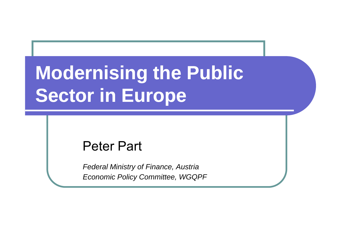# **Modernising the Public** Sector in Europe

#### **Peter Part**

**Federal Ministry of Finance, Austria Economic Policy Committee, WGQPF**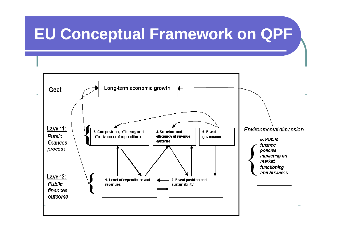#### **EU Conceptual Framework on QPF**

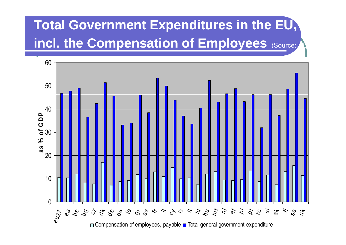### **Total Government Expenditures in the EU,** incl. the Compensation of Employees (Source:

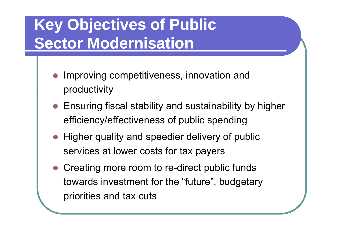# **Key Objectives of Public Sector Modernisation**

- Improving competitiveness, innovation and productivity
- Ensuring fiscal stability and sustainability by higher efficiency/effectiveness of public spending
- Higher quality and speedier delivery of public services at lower costs for tax payers
- Creating more room to re-direct public funds towards investment for the "future", budgetary priorities and tax cuts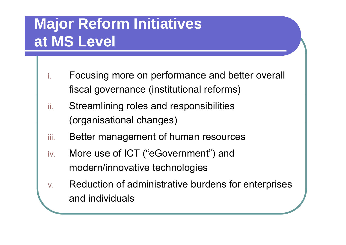### **Major Reform Initiatives at MS Level**

- i. Focusing more on performance and better overall fiscal governance (institutional reforms)
- ii. Streamlining roles and responsibilities (organisational changes)
- iii.Better management of human resources
- iv.. More use of ICT ("eGovernment") and modern/innovative technologies
- v. Reduction of administrative burdens for enterprises and individuals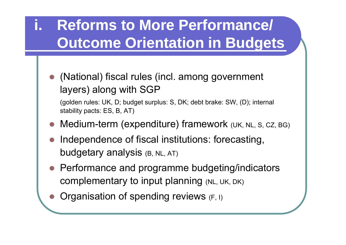### **i. Reforms to More Performance/ O t O i t ti i B d t Outcome Orientation in Budgets**

 (National) fiscal rules (incl. among government layers) along with SGP

(golden rules: UK, D; budget surplus: S, DK; debt brake: SW, (D); internal stability pacts: ES, B, AT)

- Medium-term (expenditure) framework (UK, NL, S, CZ, BG)
- Independence of fiscal institutions: forecasting, budgetary analysis (B, NL, AT)
- Performance and programme budgeting/indicators complementary to input planning (NL, UK, DK)
- Organisation of spending reviews (F, I)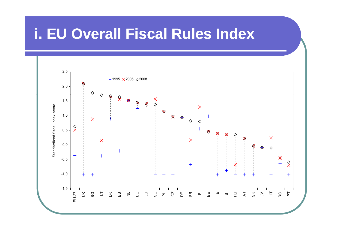#### **i. EU Overall Fiscal Rules Index**

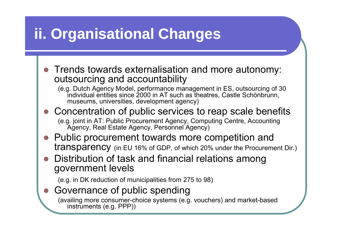#### **ii. O ga sat <sup>o</sup> <sup>a</sup> C <sup>a</sup> ges rganisational Changes**

- $\bullet$  Trends towards externalisation and more autonomy: outsourcing and accountability
	- (e.g. Dutch Agency Model, performance management in ES, outsourcing of 30 individual entities since 2000 in AT such as theatres, Castle Schönbrunn, museums, universities, development agency)
- $\bullet$ Concentration of public services to reap scale benefits

(e.g. joint in AT: Public Procurement Agency, Computing Centre, Accounting Agency, Real Estate Agency, Personnel Agency)

- $\bullet$  Public procurement towards more competition and transparency (in EU 16% of GDP, of which 20% under the Procurement Dir.)
- $\bullet$  Distribution of task and financial relations among government levels

(e.g. in DK reduction of municipalities from  $275$  to  $98$ )

#### $\bullet$ Governance of public spending

(availing more consumer-choice systems (e.g. vouchers) and market-based instruments (e.g. PPP))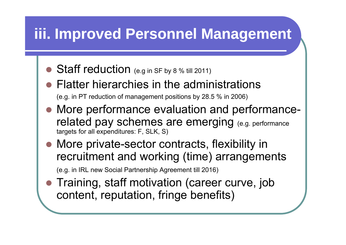#### **iii. Im Imp <sup>o</sup> ed <sup>e</sup> so <sup>e</sup> <sup>a</sup> age <sup>e</sup> t roved Personnel Management**

- $\bullet$  Staff reduction (e.g in SF by 8 % till 2011)
- $\bigcirc$  Flatter hierarchies in the administrations (e.g. in PT reduction of management positions by 28.5  $%$  in 2006)
- $\bigcirc$  More performance evaluation and performancerelated pay schemes are emerging (e.g. performance targets for all expenditures: F, SLK, S)
- More private-sector contracts, flexibility in recruitment and working (time) arrangements (e.g. in IRL new Social Partnership Agreement till 2016)
- **Training, staff motivation (career curve, job** content, reputation, fringe benefits)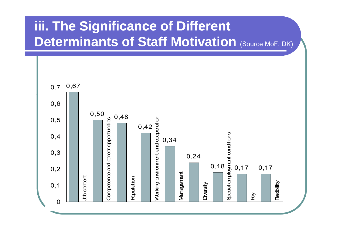#### iii. The Significance of Different **Determinants of Staff Motivation (Source MoF, DK)**

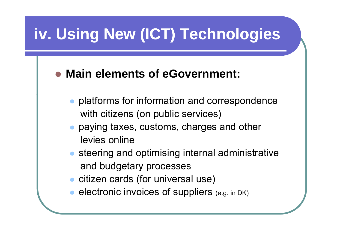# **iv. Using New (ICT) Technologies**

#### $\bullet$ **Main elements of eGovernment:**

- $\bullet$  platforms for information and correspondence with citizens (on public services)
- $\bullet$  paying taxes, customs, charges and other levies online
- $\bullet$  steering and optimising internal administrative and budgetary processes
- **citizen cards (for universal use)**
- $\bullet$ electronic invoices of suppliers (e.g. in DK)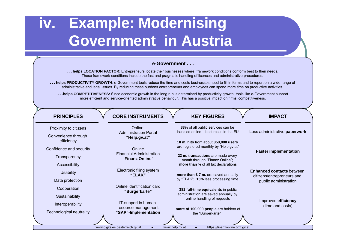#### **iv. Example: Modernising Government in Austria**

#### **e-Government . . .**

**. . . helps LOCATION FACTOR**: Entrepreneurs locate their businesses where framework conditions conform best to their needs. These framework conditions include the fast and pragmatic handling of licences and administrative procedures.

**. . . helps PRODUCTIVITY GROWTH**: e-Government tools reduce the time and costs businesses need to fill in forms and to report on a wide range of administrative and legal issues. By reducing these burdens entrepreneurs and employees can spend more time on productive activities.

... helps COMPETITIVENESS: Since economic growth in the long run is determined by productivity growth, tools like e-Government support more efficient and service-oriented administrative behaviour. This has a positive impact on firms' competitiveness.

| <b>PRINCIPLES</b>                                                                                | <b>CORE INSTRUMENTS</b>                     | <b>KEY FIGURES</b>                                                            | <b>IMPACT</b>                                       |
|--------------------------------------------------------------------------------------------------|---------------------------------------------|-------------------------------------------------------------------------------|-----------------------------------------------------|
| Proximity to citizens                                                                            | Online<br><b>Administration Portal</b>      | 83% of all public services can be<br>handled online - best result in the EU   | Less administrative paperwork                       |
| Convenience through                                                                              | "Help.gv.at"                                |                                                                               |                                                     |
| efficiency                                                                                       |                                             | 10 m. hits from about 350,000 users<br>are registered monthly by "Help.gv.at" |                                                     |
| Confidence and security                                                                          | Online<br><b>Financial Administration</b>   |                                                                               | <b>Faster implementation</b>                        |
| Transparency                                                                                     | "Finanz Online"                             | 23 m. transactions are made every<br>month through "Finanz Online";           |                                                     |
| Accessibility                                                                                    |                                             | more than 34 of all tax declarations                                          |                                                     |
| <b>Usability</b>                                                                                 | Electronic filing system<br>"ELAK"          | more than $\epsilon$ 7 m. are saved annually                                  | <b>Enhanced contacts between</b>                    |
| Data protection                                                                                  |                                             | by "ELAK"; 15% less processing time                                           | citizens/entrepreneurs and<br>public administration |
| Cooperation                                                                                      | Online identification card<br>"Bürgerkarte" | 381 full-time equivalents in public                                           |                                                     |
| Sustainability                                                                                   |                                             | administration are saved annually by<br>online handling of requests           |                                                     |
| Interoperability                                                                                 | IT-support in human                         |                                                                               | Improved efficiency<br>(time and costs)             |
| Technological neutrality                                                                         | resource management<br>"SAP"-Implementation | more of 100,000 people are holders of<br>the "Bürgerkarte"                    |                                                     |
|                                                                                                  |                                             |                                                                               |                                                     |
| https://finanzonline.bmf.qv.at<br>www.digitales.oesterreich.gv.at<br>www.help.gv.at<br>$\bullet$ |                                             |                                                                               |                                                     |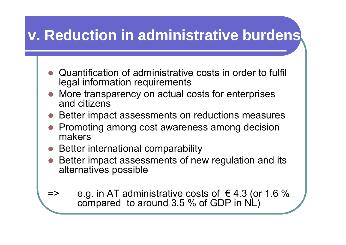#### **v. Reduction in administrative burdens**

- Quantification of administrative costs in order to fulfil legal information requirements
- More transparency on actual costs for enterprises and citizens
- Better impact assessments on reductions measures
- Promoting among cost awareness among decision makers
- $\bullet$  Better international comparability
- $\bullet$  Better impact assessments of new regulation and its alternatives possible
- $\epsilon$  => e.g. in AT administrative costs of  $\epsilon$  4.3 (or 1.6 % compared to around 3.5 % of GDP in NL)